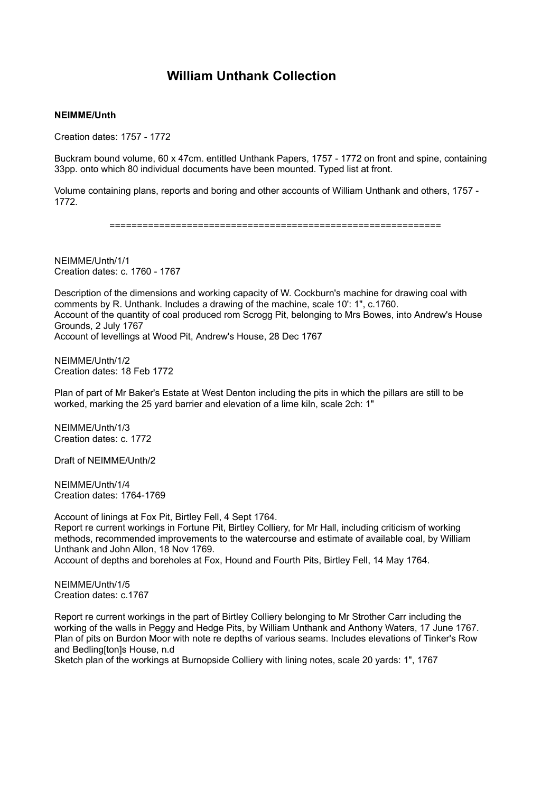## **William Unthank Collection**

## **NEIMME/Unth**

Creation dates: 1757 - 1772

Buckram bound volume, 60 x 47cm. entitled Unthank Papers, 1757 - 1772 on front and spine, containing 33pp. onto which 80 individual documents have been mounted. Typed list at front.

Volume containing plans, reports and boring and other accounts of William Unthank and others, 1757 - 1772.

============================================================

NEIMME/Unth/1/1 Creation dates: c. 1760 - 1767

Description of the dimensions and working capacity of W. Cockburn's machine for drawing coal with comments by R. Unthank. Includes a drawing of the machine, scale 10': 1", c.1760. Account of the quantity of coal produced rom Scrogg Pit, belonging to Mrs Bowes, into Andrew's House Grounds, 2 July 1767 Account of levellings at Wood Pit, Andrew's House, 28 Dec 1767

NEIMME/Unth/1/2 Creation dates: 18 Feb 1772

Plan of part of Mr Baker's Estate at West Denton including the pits in which the pillars are still to be worked, marking the 25 yard barrier and elevation of a lime kiln, scale 2ch: 1"

NEIMME/Unth/1/3 Creation dates: c. 1772

Draft of NEIMME/Unth/2

NEIMME/Unth/1/4 Creation dates: 1764-1769

Account of linings at Fox Pit, Birtley Fell, 4 Sept 1764. Report re current workings in Fortune Pit, Birtley Colliery, for Mr Hall, including criticism of working methods, recommended improvements to the watercourse and estimate of available coal, by William Unthank and John Allon, 18 Nov 1769. Account of depths and boreholes at Fox, Hound and Fourth Pits, Birtley Fell, 14 May 1764.

NEIMME/Unth/1/5 Creation dates: c.1767

Report re current workings in the part of Birtley Colliery belonging to Mr Strother Carr including the working of the walls in Peggy and Hedge Pits, by William Unthank and Anthony Waters, 17 June 1767. Plan of pits on Burdon Moor with note re depths of various seams. Includes elevations of Tinker's Row and Bedling[ton]s House, n.d

Sketch plan of the workings at Burnopside Colliery with lining notes, scale 20 yards: 1", 1767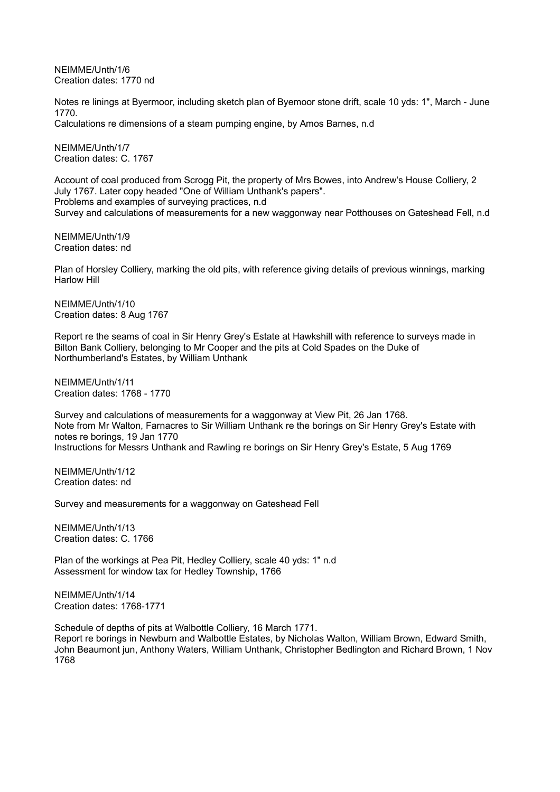NEIMME/Unth/1/6 Creation dates: 1770 nd

Notes re linings at Byermoor, including sketch plan of Byemoor stone drift, scale 10 yds: 1", March - June 1770.

Calculations re dimensions of a steam pumping engine, by Amos Barnes, n.d

NEIMME/Unth/1/7 Creation dates: C. 1767

Account of coal produced from Scrogg Pit, the property of Mrs Bowes, into Andrew's House Colliery, 2 July 1767. Later copy headed "One of William Unthank's papers". Problems and examples of surveying practices, n.d Survey and calculations of measurements for a new waggonway near Potthouses on Gateshead Fell, n.d

NEIMME/Unth/1/9 Creation dates: nd

Plan of Horsley Colliery, marking the old pits, with reference giving details of previous winnings, marking Harlow Hill

NEIMME/Unth/1/10 Creation dates: 8 Aug 1767

Report re the seams of coal in Sir Henry Grey's Estate at Hawkshill with reference to surveys made in Bilton Bank Colliery, belonging to Mr Cooper and the pits at Cold Spades on the Duke of Northumberland's Estates, by William Unthank

NEIMME/Unth/1/11 Creation dates: 1768 - 1770

Survey and calculations of measurements for a waggonway at View Pit, 26 Jan 1768. Note from Mr Walton, Farnacres to Sir William Unthank re the borings on Sir Henry Grey's Estate with notes re borings, 19 Jan 1770 Instructions for Messrs Unthank and Rawling re borings on Sir Henry Grey's Estate, 5 Aug 1769

NEIMME/Unth/1/12 Creation dates: nd

Survey and measurements for a waggonway on Gateshead Fell

NEIMME/Unth/1/13 Creation dates: C. 1766

Plan of the workings at Pea Pit, Hedley Colliery, scale 40 yds: 1" n.d Assessment for window tax for Hedley Township, 1766

NEIMME/Unth/1/14 Creation dates: 1768-1771

Schedule of depths of pits at Walbottle Colliery, 16 March 1771. Report re borings in Newburn and Walbottle Estates, by Nicholas Walton, William Brown, Edward Smith, John Beaumont jun, Anthony Waters, William Unthank, Christopher Bedlington and Richard Brown, 1 Nov 1768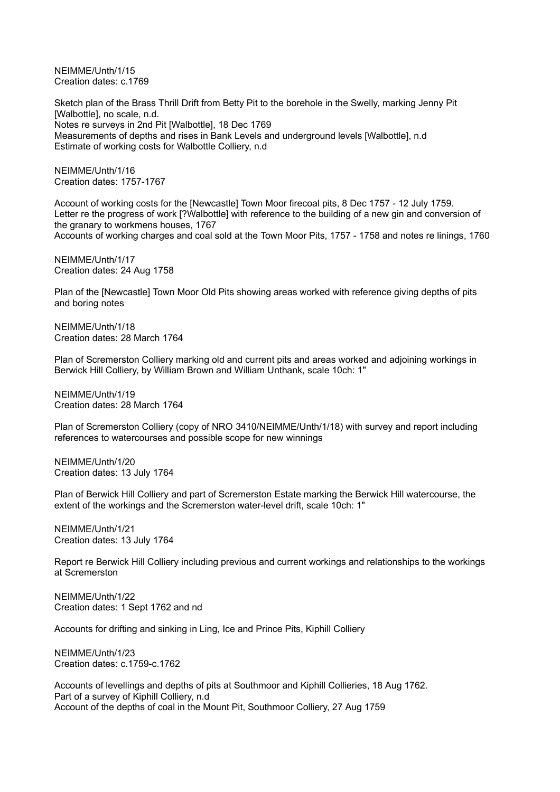NEIMME/Unth/1/15 Creation dates: c.1769

Sketch plan of the Brass Thrill Drift from Betty Pit to the borehole in the Swelly, marking Jenny Pit [Walbottle], no scale, n.d. Notes re surveys in 2nd Pit [Walbottle], 18 Dec 1769 Measurements of depths and rises in Bank Levels and underground levels [Walbottle], n.d Estimate of working costs for Walbottle Colliery, n.d

NEIMME/Unth/1/16 Creation dates: 1757-1767

Account of working costs for the [Newcastle] Town Moor firecoal pits, 8 Dec 1757 - 12 July 1759. Letter re the progress of work [?Walbottle] with reference to the building of a new gin and conversion of the granary to workmens houses, 1767 Accounts of working charges and coal sold at the Town Moor Pits, 1757 - 1758 and notes re linings, 1760

NEIMME/Unth/1/17 Creation dates: 24 Aug 1758

Plan of the [Newcastle] Town Moor Old Pits showing areas worked with reference giving depths of pits and boring notes

NEIMME/Unth/1/18 Creation dates: 28 March 1764

Plan of Scremerston Colliery marking old and current pits and areas worked and adjoining workings in Berwick Hill Colliery, by William Brown and William Unthank, scale 10ch: 1"

NEIMME/Unth/1/19 Creation dates: 28 March 1764

Plan of Scremerston Colliery (copy of NRO 3410/NEIMME/Unth/1/18) with survey and report including references to watercourses and possible scope for new winnings

NEIMME/Unth/1/20 Creation dates: 13 July 1764

Plan of Berwick Hill Colliery and part of Scremerston Estate marking the Berwick Hill watercourse, the extent of the workings and the Scremerston water-level drift, scale 10ch: 1"

NEIMME/Unth/1/21 Creation dates: 13 July 1764

Report re Berwick Hill Colliery including previous and current workings and relationships to the workings at Scremerston

NEIMME/Unth/1/22 Creation dates: 1 Sept 1762 and nd

Accounts for drifting and sinking in Ling, Ice and Prince Pits, Kiphill Colliery

NEIMME/Unth/1/23 Creation dates: c.1759-c.1762

Accounts of levellings and depths of pits at Southmoor and Kiphill Collieries, 18 Aug 1762. Part of a survey of Kiphill Colliery, n.d Account of the depths of coal in the Mount Pit, Southmoor Colliery, 27 Aug 1759